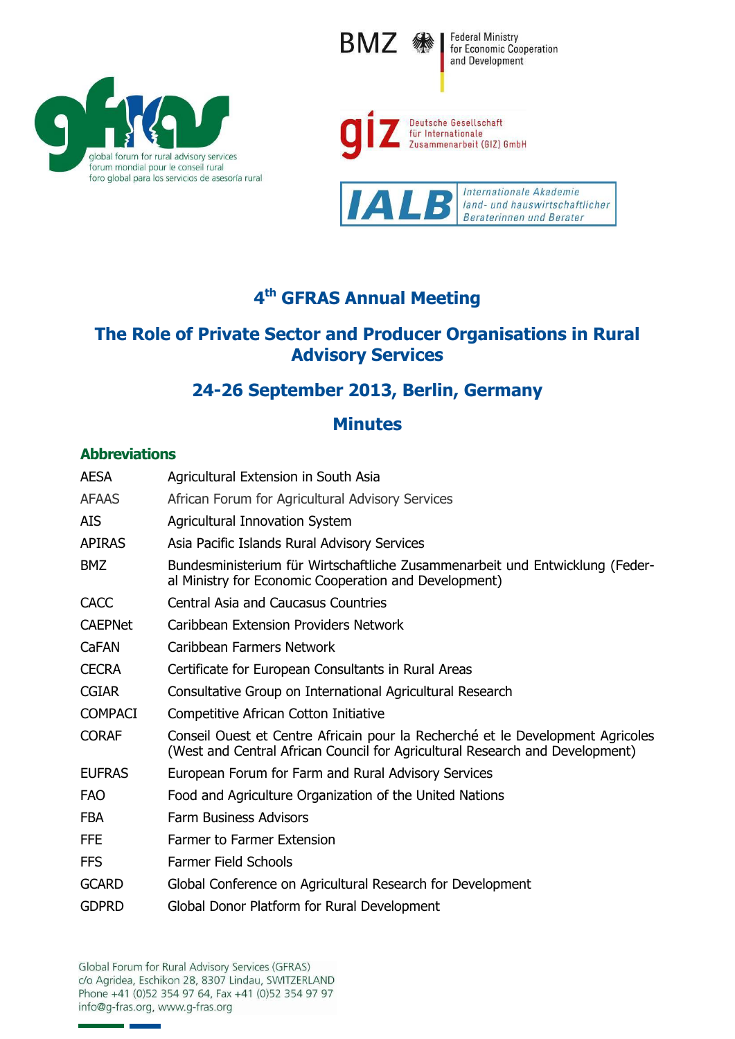







# **4 th GFRAS Annual Meeting**

## **The Role of Private Sector and Producer Organisations in Rural Advisory Services**

## **24-26 September 2013, Berlin, Germany**

## **Minutes**

## **Abbreviations**

| <b>AESA</b>    | Agricultural Extension in South Asia                                                                                                                           |
|----------------|----------------------------------------------------------------------------------------------------------------------------------------------------------------|
| <b>AFAAS</b>   | African Forum for Agricultural Advisory Services                                                                                                               |
| <b>AIS</b>     | Agricultural Innovation System                                                                                                                                 |
| <b>APIRAS</b>  | Asia Pacific Islands Rural Advisory Services                                                                                                                   |
| <b>BMZ</b>     | Bundesministerium für Wirtschaftliche Zusammenarbeit und Entwicklung (Feder-<br>al Ministry for Economic Cooperation and Development)                          |
| <b>CACC</b>    | <b>Central Asia and Caucasus Countries</b>                                                                                                                     |
| <b>CAEPNet</b> | Caribbean Extension Providers Network                                                                                                                          |
| CaFAN          | Caribbean Farmers Network                                                                                                                                      |
| <b>CECRA</b>   | Certificate for European Consultants in Rural Areas                                                                                                            |
| <b>CGIAR</b>   | Consultative Group on International Agricultural Research                                                                                                      |
| <b>COMPACI</b> | Competitive African Cotton Initiative                                                                                                                          |
| <b>CORAF</b>   | Conseil Ouest et Centre Africain pour la Recherché et le Development Agricoles<br>(West and Central African Council for Agricultural Research and Development) |
| <b>EUFRAS</b>  | European Forum for Farm and Rural Advisory Services                                                                                                            |
| <b>FAO</b>     | Food and Agriculture Organization of the United Nations                                                                                                        |
| <b>FBA</b>     | <b>Farm Business Advisors</b>                                                                                                                                  |
| <b>FFE</b>     | <b>Farmer to Farmer Extension</b>                                                                                                                              |
| <b>FFS</b>     | <b>Farmer Field Schools</b>                                                                                                                                    |
| <b>GCARD</b>   | Global Conference on Agricultural Research for Development                                                                                                     |
| <b>GDPRD</b>   | Global Donor Platform for Rural Development                                                                                                                    |

Global Forum for Rural Advisory Services (GFRAS) c/o Agridea, Eschikon 28, 8307 Lindau, SWITZERLAND Phone +41 (0)52 354 97 64, Fax +41 (0)52 354 97 97<br>info@g-fras.org, www.g-fras.org

a.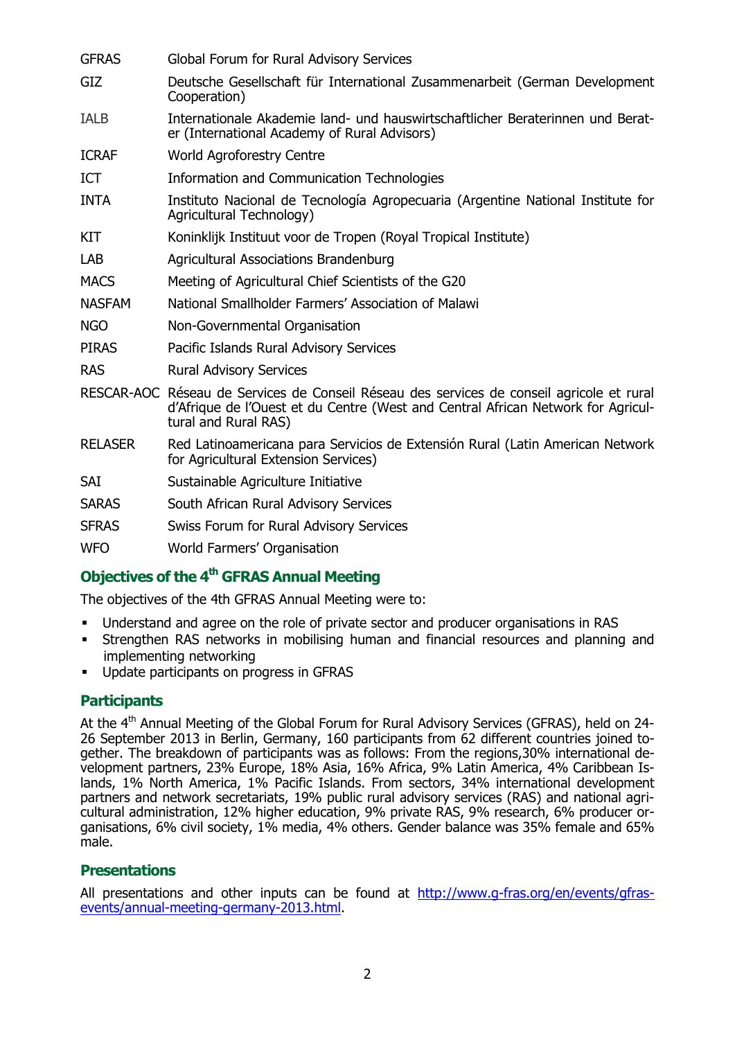| <b>GFRAS</b>   | Global Forum for Rural Advisory Services                                                                                                                                                              |
|----------------|-------------------------------------------------------------------------------------------------------------------------------------------------------------------------------------------------------|
| GIZ            | Deutsche Gesellschaft für International Zusammenarbeit (German Development<br>Cooperation)                                                                                                            |
| <b>IALB</b>    | Internationale Akademie land- und hauswirtschaftlicher Beraterinnen und Berat-<br>er (International Academy of Rural Advisors)                                                                        |
| <b>ICRAF</b>   | <b>World Agroforestry Centre</b>                                                                                                                                                                      |
| <b>ICT</b>     | Information and Communication Technologies                                                                                                                                                            |
| <b>INTA</b>    | Instituto Nacional de Tecnología Agropecuaria (Argentine National Institute for<br>Agricultural Technology)                                                                                           |
| KIT            | Koninklijk Instituut voor de Tropen (Royal Tropical Institute)                                                                                                                                        |
| <b>LAB</b>     | <b>Agricultural Associations Brandenburg</b>                                                                                                                                                          |
| <b>MACS</b>    | Meeting of Agricultural Chief Scientists of the G20                                                                                                                                                   |
| <b>NASFAM</b>  | National Smallholder Farmers' Association of Malawi                                                                                                                                                   |
| <b>NGO</b>     | Non-Governmental Organisation                                                                                                                                                                         |
| <b>PIRAS</b>   | Pacific Islands Rural Advisory Services                                                                                                                                                               |
| <b>RAS</b>     | <b>Rural Advisory Services</b>                                                                                                                                                                        |
|                | RESCAR-AOC Réseau de Services de Conseil Réseau des services de conseil agricole et rural<br>d'Afrique de l'Ouest et du Centre (West and Central African Network for Agricul-<br>tural and Rural RAS) |
| <b>RELASER</b> | Red Latinoamericana para Servicios de Extensión Rural (Latin American Network<br>for Agricultural Extension Services)                                                                                 |
| SAI            | Sustainable Agriculture Initiative                                                                                                                                                                    |
| <b>SARAS</b>   | South African Rural Advisory Services                                                                                                                                                                 |
| <b>SFRAS</b>   | Swiss Forum for Rural Advisory Services                                                                                                                                                               |
| <b>WFO</b>     | World Farmers' Organisation                                                                                                                                                                           |

## **Objectives of the 4th GFRAS Annual Meeting**

The objectives of the 4th GFRAS Annual Meeting were to:

- Understand and agree on the role of private sector and producer organisations in RAS
- Strengthen RAS networks in mobilising human and financial resources and planning and implementing networking
- Update participants on progress in GFRAS

## **Participants**

At the 4<sup>th</sup> Annual Meeting of the Global Forum for Rural Advisory Services (GFRAS), held on 24-26 September 2013 in Berlin, Germany, 160 participants from 62 different countries joined together. The breakdown of participants was as follows: From the regions,30% international development partners, 23% Europe, 18% Asia, 16% Africa, 9% Latin America, 4% Caribbean Islands, 1% North America, 1% Pacific Islands. From sectors, 34% international development partners and network secretariats, 19% public rural advisory services (RAS) and national agricultural administration, 12% higher education, 9% private RAS, 9% research, 6% producer organisations, 6% civil society, 1% media, 4% others. Gender balance was 35% female and 65% male.

#### **Presentations**

All presentations and other inputs can be found at [http://www.g-fras.org/en/events/gfras](http://www.g-fras.org/en/events/gfras-events/annual-meeting-germany-2013.html)[events/annual-meeting-germany-2013.html.](http://www.g-fras.org/en/events/gfras-events/annual-meeting-germany-2013.html)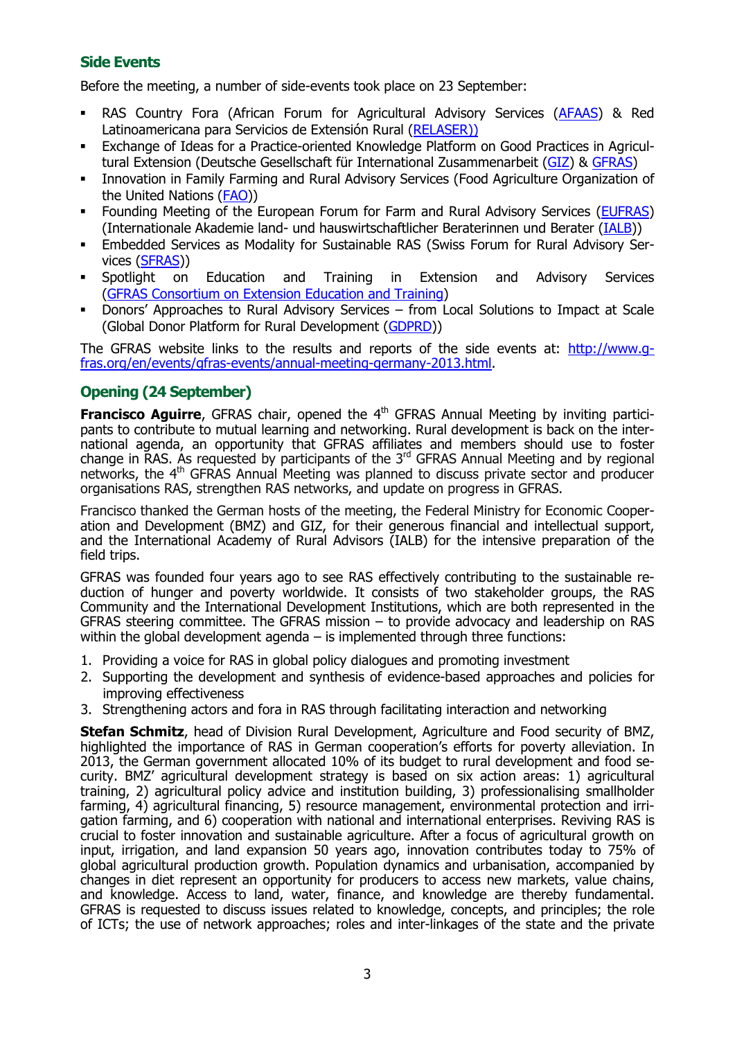## **Side Events**

Before the meeting, a number of side-events took place on 23 September:

- RAS Country Fora (African Forum for Agricultural Advisory Services [\(AFAAS\)](http://www.afaas-africa.org/) & Red Latinoamericana para Servicios de Extensión Rural [\(RELASER\)\)](http://www.relaser.org/)
- Exchange of Ideas for a Practice-oriented Knowledge Platform on Good Practices in Agricultural Extension (Deutsche Gesellschaft für International Zusammenarbeit [\(GIZ\)](http://www.giz.de/en) & [GFRAS\)](http://www.g-fras.org/)
- Innovation in Family Farming and Rural Advisory Services (Food Agriculture Organization of the United Nations [\(FAO\)](http://www.fao.org/nr/research-extension-systems/ais-ff/en/))
- Founding Meeting of the European Forum for Farm and Rural Advisory Services [\(EUFRAS\)](http://www.eufras.eu/) (Internationale Akademie land- und hauswirtschaftlicher Beraterinnen und Berater [\(IALB\)](http://www.ialb.org/))
- Embedded Services as Modality for Sustainable RAS (Swiss Forum for Rural Advisory Services [\(SFRAS\)](http://www.sdc-foodsecurity.ch/en/Home/Focus_areas/Rural_advisory_services/SFRAS))
- Spotlight on Education and Training in Extension and Advisory Services (GFRAS [Consortium on Extension Education and Training\)](http://www.g-fras.org/en/activities/consortium-on-education-and-training.html)
- Donors' Approaches to Rural Advisory Services from Local Solutions to Impact at Scale (Global Donor Platform for Rural Development [\(GDPRD\)](http://www.donorplatform.org/))

The GFRAS website links to the results and reports of the side events at: [http://www.g](http://www.g-fras.org/en/events/gfras-events/annual-meeting-germany-2013.html)[fras.org/en/events/gfras-events/annual-meeting-germany-2013.html.](http://www.g-fras.org/en/events/gfras-events/annual-meeting-germany-2013.html)

## **Opening (24 September)**

**Francisco Aguirre**, GFRAS chair, opened the 4<sup>th</sup> GFRAS Annual Meeting by inviting participants to contribute to mutual learning and networking. Rural development is back on the international agenda, an opportunity that GFRAS affiliates and members should use to foster change in RAS. As requested by participants of the  $3<sup>rd</sup>$  GFRAS Annual Meeting and by regional networks, the 4<sup>th</sup> GFRAS Annual Meeting was planned to discuss private sector and producer organisations RAS, strengthen RAS networks, and update on progress in GFRAS.

Francisco thanked the German hosts of the meeting, the Federal Ministry for Economic Cooperation and Development (BMZ) and GIZ, for their generous financial and intellectual support, and the International Academy of Rural Advisors (IALB) for the intensive preparation of the field trips.

GFRAS was founded four years ago to see RAS effectively contributing to the sustainable reduction of hunger and poverty worldwide. It consists of two stakeholder groups, the RAS Community and the International Development Institutions, which are both represented in the GFRAS steering committee. The GFRAS mission – to provide advocacy and leadership on RAS within the global development agenda  $-$  is implemented through three functions:

- 1. Providing a voice for RAS in global policy dialogues and promoting investment
- 2. Supporting the development and synthesis of evidence-based approaches and policies for improving effectiveness
- 3. Strengthening actors and fora in RAS through facilitating interaction and networking

**Stefan Schmitz**, head of Division Rural Development, Agriculture and Food security of BMZ, highlighted the importance of RAS in German cooperation's efforts for poverty alleviation. In 2013, the German government allocated 10% of its budget to rural development and food security. BMZ' agricultural development strategy is based on six action areas: 1) agricultural training, 2) agricultural policy advice and institution building, 3) professionalising smallholder farming, 4) agricultural financing, 5) resource management, environmental protection and irrigation farming, and 6) cooperation with national and international enterprises. Reviving RAS is crucial to foster innovation and sustainable agriculture. After a focus of agricultural growth on input, irrigation, and land expansion 50 years ago, innovation contributes today to 75% of global agricultural production growth. Population dynamics and urbanisation, accompanied by changes in diet represent an opportunity for producers to access new markets, value chains, and knowledge. Access to land, water, finance, and knowledge are thereby fundamental. GFRAS is requested to discuss issues related to knowledge, concepts, and principles; the role of ICTs; the use of network approaches; roles and inter-linkages of the state and the private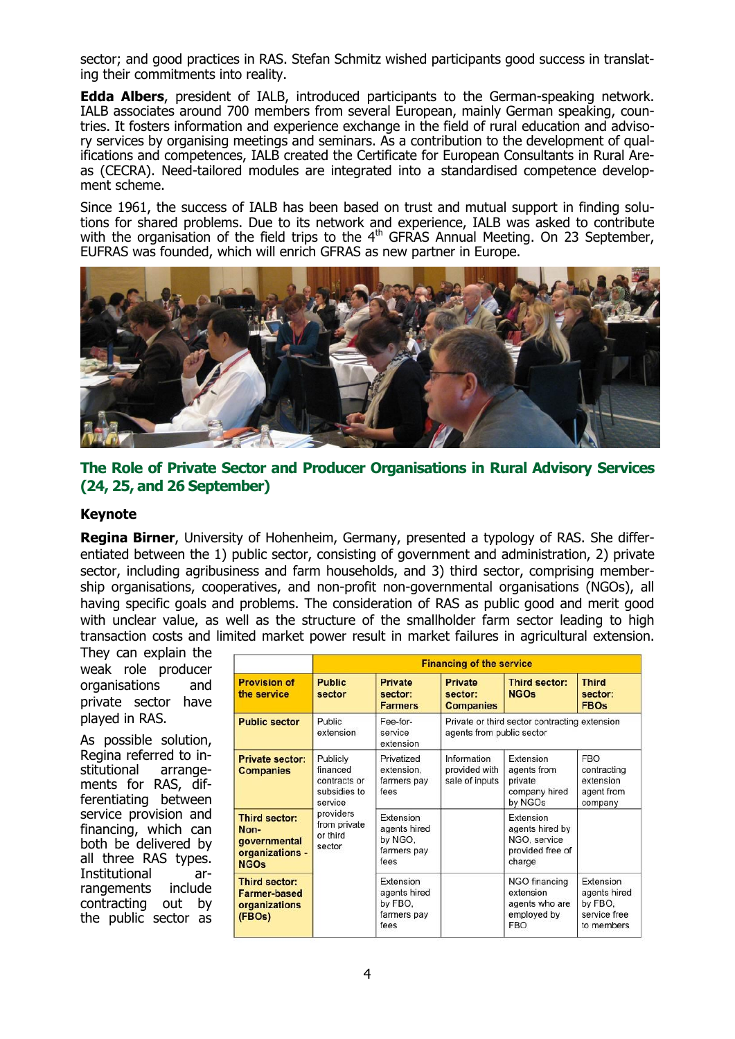sector; and good practices in RAS. Stefan Schmitz wished participants good success in translating their commitments into reality.

**Edda Albers**, president of IALB, introduced participants to the German-speaking network. IALB associates around 700 members from several European, mainly German speaking, countries. It fosters information and experience exchange in the field of rural education and advisory services by organising meetings and seminars. As a contribution to the development of qualifications and competences, IALB created the Certificate for European Consultants in Rural Areas (CECRA). Need-tailored modules are integrated into a standardised competence development scheme.

Since 1961, the success of IALB has been based on trust and mutual support in finding solutions for shared problems. Due to its network and experience, IALB was asked to contribute with the organisation of the field trips to the  $4<sup>th</sup>$  GFRAS Annual Meeting. On 23 September, EUFRAS was founded, which will enrich GFRAS as new partner in Europe.



## **The Role of Private Sector and Producer Organisations in Rural Advisory Services (24, 25, and 26 September)**

#### **Keynote**

**Regina Birner**, University of Hohenheim, Germany, presented a typology of RAS. She differentiated between the 1) public sector, consisting of government and administration, 2) private sector, including agribusiness and farm households, and 3) third sector, comprising membership organisations, cooperatives, and non-profit non-governmental organisations (NGOs), all having specific goals and problems. The consideration of RAS as public good and merit good with unclear value, as well as the structure of the smallholder farm sector leading to high transaction costs and limited market power result in market failures in agricultural extension.

They can explain the weak role producer organisations and private sector have played in RAS.

As possible solution, Regina referred to institutional arrangements for RAS, differentiating between service provision and financing, which can both be delivered by all three RAS types. Institutional arrangements include contracting out by the public sector as

|                                                                         | <b>Financing of the service</b>                                 |                                                             |                                                                            |                                                                            |                                                                    |
|-------------------------------------------------------------------------|-----------------------------------------------------------------|-------------------------------------------------------------|----------------------------------------------------------------------------|----------------------------------------------------------------------------|--------------------------------------------------------------------|
| <b>Provision of</b><br>the service                                      | <b>Public</b><br>sector                                         | Private<br>sector:<br><b>Farmers</b>                        | <b>Private</b><br>sector:<br><b>Companies</b>                              | Third sector:<br><b>NGOs</b>                                               | <b>Third</b><br>sector:<br><b>FBOs</b>                             |
| <b>Public sector</b>                                                    | Public<br>extension                                             | Fee-for-<br>service<br>extension                            | Private or third sector contracting extension<br>agents from public sector |                                                                            |                                                                    |
| Private sector:<br><b>Companies</b>                                     | Publicly<br>financed<br>contracts or<br>subsidies to<br>service | Privatized<br>extension.<br>farmers pay<br>fees             | Information<br>provided with<br>sale of inputs                             | Extension<br>agents from<br>private<br>company hired<br>by NGOs            | <b>FBO</b><br>contracting<br>extension<br>agent from<br>company    |
| Third sector:<br>Non-<br>governmental<br>organizations -<br><b>NGOs</b> | providers<br>from private<br>or third<br>sector                 | Extension<br>agents hired<br>by NGO.<br>farmers pay<br>fees |                                                                            | Extension<br>agents hired by<br>NGO, service<br>provided free of<br>charge |                                                                    |
| Third sector:<br><b>Farmer-based</b><br>organizations<br>(FBOs)         |                                                                 | Extension<br>agents hired<br>by FBO,<br>farmers pay<br>fees |                                                                            | NGO financing<br>extension<br>agents who are<br>employed by<br><b>FBO</b>  | Extension<br>agents hired<br>by FBO,<br>service free<br>to members |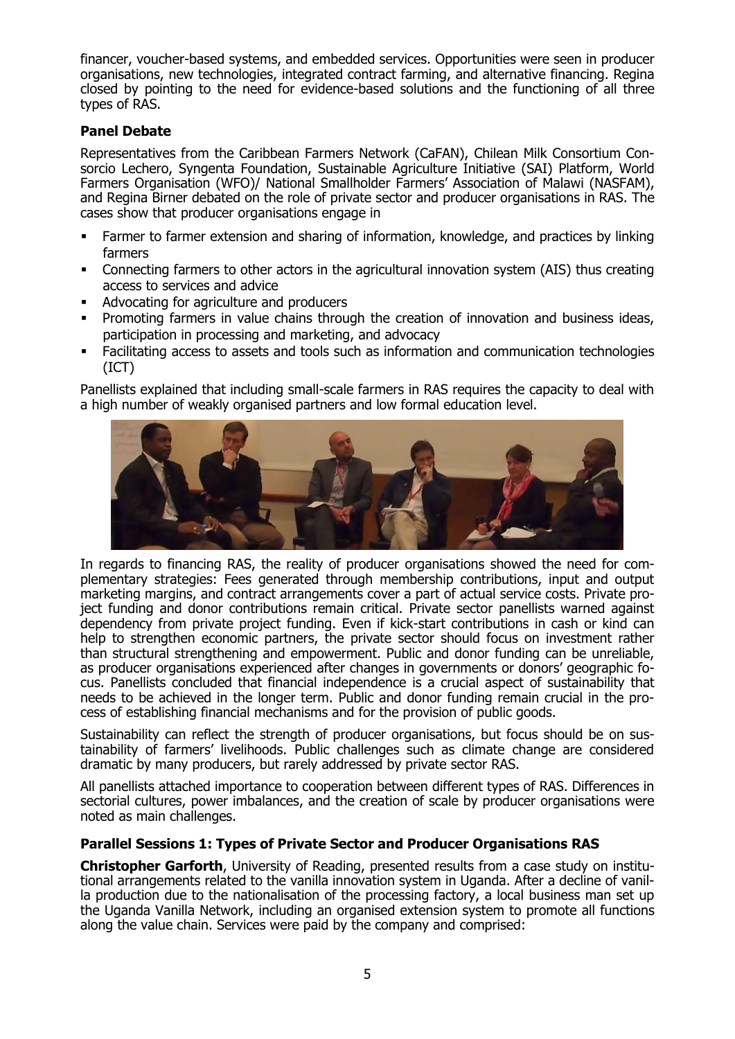financer, voucher-based systems, and embedded services. Opportunities were seen in producer organisations, new technologies, integrated contract farming, and alternative financing. Regina closed by pointing to the need for evidence-based solutions and the functioning of all three types of RAS.

## **Panel Debate**

Representatives from the Caribbean Farmers Network (CaFAN), Chilean Milk Consortium Consorcio Lechero, Syngenta Foundation, Sustainable Agriculture Initiative (SAI) Platform, World Farmers Organisation (WFO)/ National Smallholder Farmers' Association of Malawi (NASFAM), and Regina Birner debated on the role of private sector and producer organisations in RAS. The cases show that producer organisations engage in

- Farmer to farmer extension and sharing of information, knowledge, and practices by linking farmers
- Connecting farmers to other actors in the agricultural innovation system (AIS) thus creating access to services and advice
- Advocating for agriculture and producers
- Promoting farmers in value chains through the creation of innovation and business ideas, participation in processing and marketing, and advocacy
- Facilitating access to assets and tools such as information and communication technologies (ICT)

Panellists explained that including small-scale farmers in RAS requires the capacity to deal with a high number of weakly organised partners and low formal education level.



In regards to financing RAS, the reality of producer organisations showed the need for complementary strategies: Fees generated through membership contributions, input and output marketing margins, and contract arrangements cover a part of actual service costs. Private project funding and donor contributions remain critical. Private sector panellists warned against dependency from private project funding. Even if kick-start contributions in cash or kind can help to strengthen economic partners, the private sector should focus on investment rather than structural strengthening and empowerment. Public and donor funding can be unreliable, as producer organisations experienced after changes in governments or donors' geographic focus. Panellists concluded that financial independence is a crucial aspect of sustainability that needs to be achieved in the longer term. Public and donor funding remain crucial in the process of establishing financial mechanisms and for the provision of public goods.

Sustainability can reflect the strength of producer organisations, but focus should be on sustainability of farmers' livelihoods. Public challenges such as climate change are considered dramatic by many producers, but rarely addressed by private sector RAS.

All panellists attached importance to cooperation between different types of RAS. Differences in sectorial cultures, power imbalances, and the creation of scale by producer organisations were noted as main challenges.

#### **Parallel Sessions 1: Types of Private Sector and Producer Organisations RAS**

**Christopher Garforth**, University of Reading, presented results from a case study on institutional arrangements related to the vanilla innovation system in Uganda. After a decline of vanilla production due to the nationalisation of the processing factory, a local business man set up the Uganda Vanilla Network, including an organised extension system to promote all functions along the value chain. Services were paid by the company and comprised: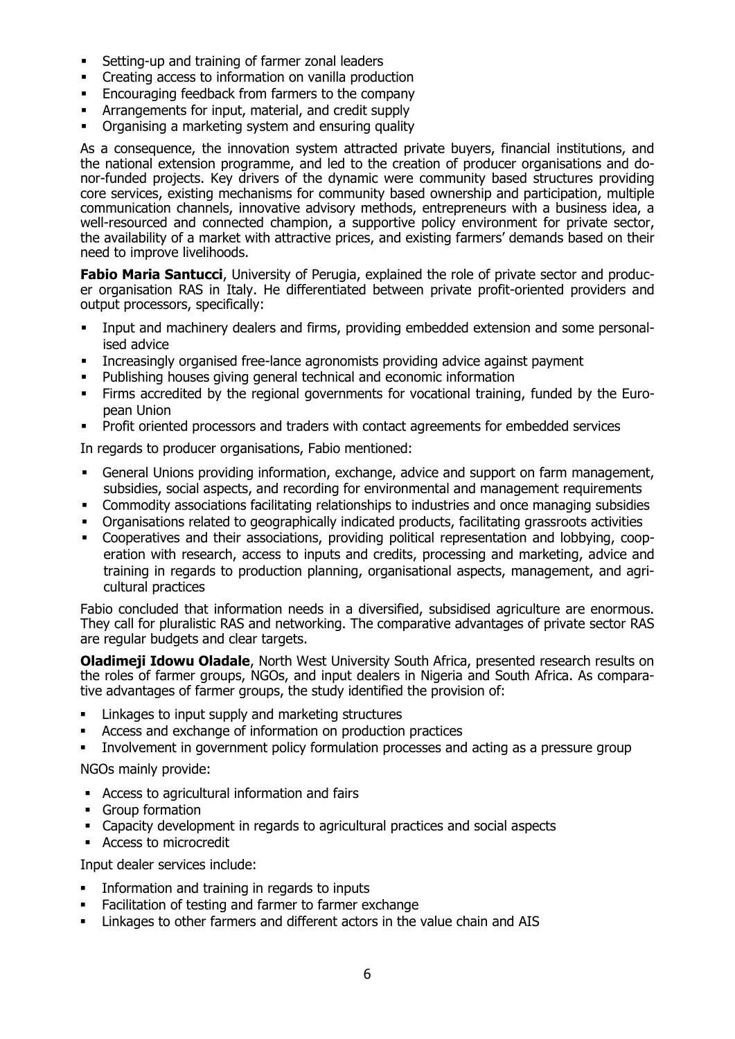- **Setting-up and training of farmer zonal leaders**
- Creating access to information on vanilla production
- **Encouraging feedback from farmers to the company**
- Arrangements for input, material, and credit supply
- Organising a marketing system and ensuring quality

As a consequence, the innovation system attracted private buyers, financial institutions, and the national extension programme, and led to the creation of producer organisations and donor-funded projects. Key drivers of the dynamic were community based structures providing core services, existing mechanisms for community based ownership and participation, multiple communication channels, innovative advisory methods, entrepreneurs with a business idea, a well-resourced and connected champion, a supportive policy environment for private sector, the availability of a market with attractive prices, and existing farmers' demands based on their need to improve livelihoods.

**Fabio Maria Santucci**, University of Perugia, explained the role of private sector and producer organisation RAS in Italy. He differentiated between private profit-oriented providers and output processors, specifically:

- Input and machinery dealers and firms, providing embedded extension and some personalised advice
- Increasingly organised free-lance agronomists providing advice against payment
- Publishing houses giving general technical and economic information
- Firms accredited by the regional governments for vocational training, funded by the European Union
- Profit oriented processors and traders with contact agreements for embedded services

In regards to producer organisations, Fabio mentioned:

- General Unions providing information, exchange, advice and support on farm management, subsidies, social aspects, and recording for environmental and management requirements
- Commodity associations facilitating relationships to industries and once managing subsidies
- Organisations related to geographically indicated products, facilitating grassroots activities
- Cooperatives and their associations, providing political representation and lobbying, cooperation with research, access to inputs and credits, processing and marketing, advice and training in regards to production planning, organisational aspects, management, and agricultural practices

Fabio concluded that information needs in a diversified, subsidised agriculture are enormous. They call for pluralistic RAS and networking. The comparative advantages of private sector RAS are regular budgets and clear targets.

**Oladimeji Idowu Oladale**, North West University South Africa, presented research results on the roles of farmer groups, NGOs, and input dealers in Nigeria and South Africa. As comparative advantages of farmer groups, the study identified the provision of:

- **EXECUTE:** Linkages to input supply and marketing structures
- Access and exchange of information on production practices
- Involvement in government policy formulation processes and acting as a pressure group

NGOs mainly provide:

- Access to agricultural information and fairs
- **Group formation**
- Capacity development in regards to agricultural practices and social aspects
- Access to microcredit

Input dealer services include:

- **Information and training in regards to inputs**
- Facilitation of testing and farmer to farmer exchange
- Linkages to other farmers and different actors in the value chain and AIS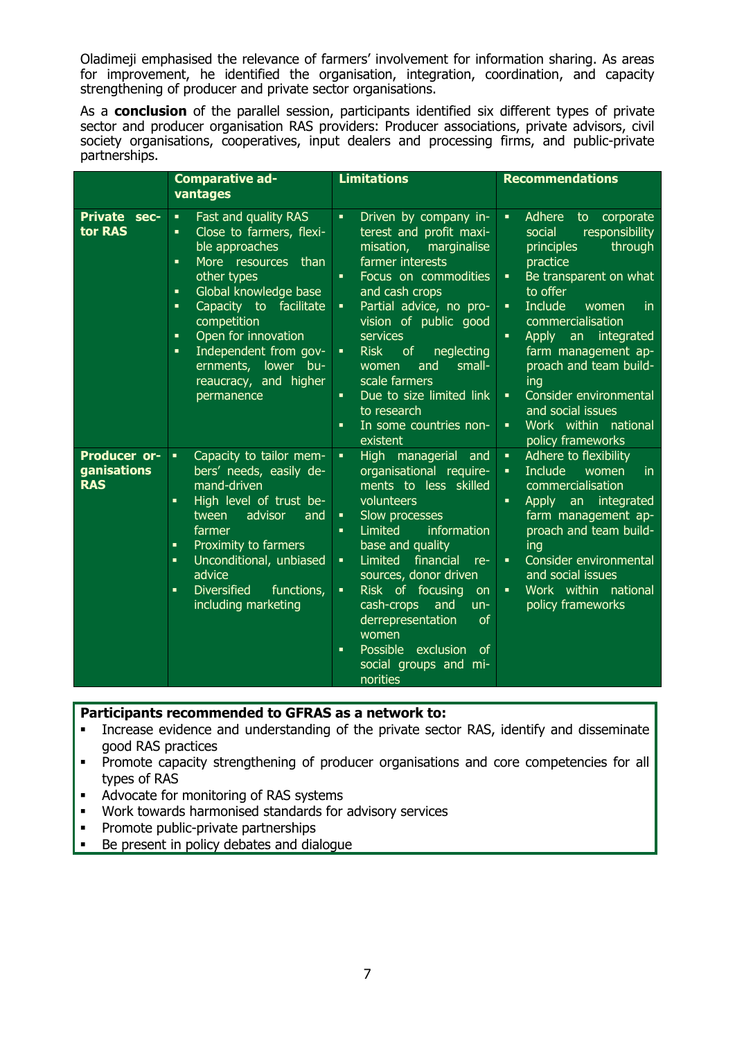Oladimeji emphasised the relevance of farmers' involvement for information sharing. As areas for improvement, he identified the organisation, integration, coordination, and capacity strengthening of producer and private sector organisations.

As a **conclusion** of the parallel session, participants identified six different types of private sector and producer organisation RAS providers: Producer associations, private advisors, civil society organisations, cooperatives, input dealers and processing firms, and public-private partnerships.

|                                                  | <b>Comparative ad-</b><br>vantages                                                                                                                                                                                                                                                                                                                                       | <b>Limitations</b>                                                                                                                                                                                                                                                                                                                                                                                                                                                                               | <b>Recommendations</b>                                                                                                                                                                                                                                                                                                                                                                                                                                                         |  |
|--------------------------------------------------|--------------------------------------------------------------------------------------------------------------------------------------------------------------------------------------------------------------------------------------------------------------------------------------------------------------------------------------------------------------------------|--------------------------------------------------------------------------------------------------------------------------------------------------------------------------------------------------------------------------------------------------------------------------------------------------------------------------------------------------------------------------------------------------------------------------------------------------------------------------------------------------|--------------------------------------------------------------------------------------------------------------------------------------------------------------------------------------------------------------------------------------------------------------------------------------------------------------------------------------------------------------------------------------------------------------------------------------------------------------------------------|--|
| Private sec-<br>tor RAS                          | Fast and quality RAS<br>$\blacksquare$<br>Close to farmers, flexi-<br>٠<br>ble approaches<br>More resources<br>than<br>٠<br>other types<br>Global knowledge base<br>٠<br>Capacity to facilitate<br>$\blacksquare$<br>competition<br>Open for innovation<br>$\blacksquare$<br>Independent from gov-<br>٠<br>ernments,<br>lower bu-<br>reaucracy, and higher<br>permanence | $\blacksquare$<br>Driven by company in-<br>terest and profit maxi-<br>misation,<br>marginalise<br>farmer interests<br>Focus on commodities<br>$\blacksquare$<br>and cash crops<br>Partial advice, no pro-<br>$\blacksquare$<br>vision of public good<br>services<br><b>Risk</b><br>neglecting<br><sub>of</sub><br>$\blacksquare$<br>small-<br>and<br>women<br>scale farmers<br>Due to size limited link<br>$\blacksquare$<br>to research<br>In some countries non-<br>$\blacksquare$<br>existent | Adhere<br>to<br>corporate<br>$\blacksquare$<br>social<br>responsibility<br>through<br>principles<br>practice<br>Be transparent on what<br>٠<br>to offer<br><b>Include</b><br>women<br>in.<br>$\blacksquare$<br>commercialisation<br><b>Apply</b><br>integrated<br>an<br>$\blacksquare$<br>farm management ap-<br>proach and team build-<br>ing<br>Consider environmental<br>$\blacksquare$<br>and social issues<br>Work within national<br>$\blacksquare$<br>policy frameworks |  |
| <b>Producer or-</b><br>ganisations<br><b>RAS</b> | Capacity to tailor mem-<br>$\blacksquare$<br>bers' needs, easily de-<br>mand-driven<br>High level of trust be-<br>$\blacksquare$<br>advisor<br>tween<br>and<br>farmer<br>Proximity to farmers<br>$\blacksquare$<br>Unconditional, unbiased<br>$\blacksquare$<br>advice<br><b>Diversified</b><br>functions,<br>$\blacksquare$<br>including marketing                      | High managerial<br>$\blacksquare$<br>and<br>organisational require-<br>ments to less skilled<br>volunteers<br>Slow processes<br>٠<br>Limited<br>information<br>$\blacksquare$<br>base and quality<br>financial<br>Limited<br>$\blacksquare$<br>re-<br>sources, donor driven<br>Risk of focusing<br>$\blacksquare$<br><b>on</b><br>cash-crops<br>and<br>$un-$<br>derrepresentation<br>of<br>women<br>Possible<br>exclusion<br>of<br>$\blacksquare$<br>social groups and mi-<br>norities           | Adhere to flexibility<br>$\blacksquare$<br>Include<br><i>in</i><br>women<br>٠<br>commercialisation<br>Apply<br>an integrated<br>$\blacksquare$<br>farm management ap-<br>proach and team build-<br>ing<br>Consider environmental<br>$\blacksquare$<br>and social issues<br>Work within national<br>$\blacksquare$<br>policy frameworks                                                                                                                                         |  |

**Participants recommended to GFRAS as a network to:**

- Increase evidence and understanding of the private sector RAS, identify and disseminate good RAS practices
- **Promote capacity strengthening of producer organisations and core competencies for all** types of RAS
- Advocate for monitoring of RAS systems
- Work towards harmonised standards for advisory services
- **•** Promote public-private partnerships
- Be present in policy debates and dialogue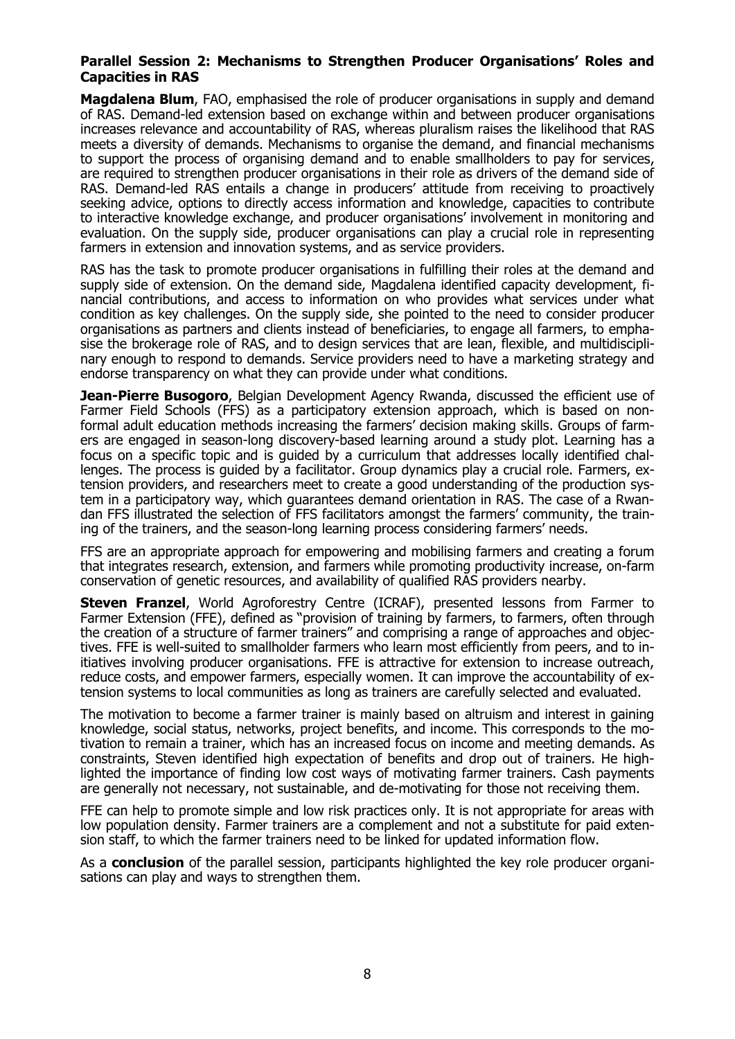## **Parallel Session 2: Mechanisms to Strengthen Producer Organisations' Roles and Capacities in RAS**

**Magdalena Blum**, FAO, emphasised the role of producer organisations in supply and demand of RAS. Demand-led extension based on exchange within and between producer organisations increases relevance and accountability of RAS, whereas pluralism raises the likelihood that RAS meets a diversity of demands. Mechanisms to organise the demand, and financial mechanisms to support the process of organising demand and to enable smallholders to pay for services, are required to strengthen producer organisations in their role as drivers of the demand side of RAS. Demand-led RAS entails a change in producers' attitude from receiving to proactively seeking advice, options to directly access information and knowledge, capacities to contribute to interactive knowledge exchange, and producer organisations' involvement in monitoring and evaluation. On the supply side, producer organisations can play a crucial role in representing farmers in extension and innovation systems, and as service providers.

RAS has the task to promote producer organisations in fulfilling their roles at the demand and supply side of extension. On the demand side, Magdalena identified capacity development, financial contributions, and access to information on who provides what services under what condition as key challenges. On the supply side, she pointed to the need to consider producer organisations as partners and clients instead of beneficiaries, to engage all farmers, to emphasise the brokerage role of RAS, and to design services that are lean, flexible, and multidisciplinary enough to respond to demands. Service providers need to have a marketing strategy and endorse transparency on what they can provide under what conditions.

**Jean-Pierre Busogoro**, Belgian Development Agency Rwanda, discussed the efficient use of Farmer Field Schools (FFS) as a participatory extension approach, which is based on nonformal adult education methods increasing the farmers' decision making skills. Groups of farmers are engaged in season-long discovery-based learning around a study plot. Learning has a focus on a specific topic and is guided by a curriculum that addresses locally identified challenges. The process is guided by a facilitator. Group dynamics play a crucial role. Farmers, extension providers, and researchers meet to create a good understanding of the production system in a participatory way, which guarantees demand orientation in RAS. The case of a Rwandan FFS illustrated the selection of FFS facilitators amongst the farmers' community, the training of the trainers, and the season-long learning process considering farmers' needs.

FFS are an appropriate approach for empowering and mobilising farmers and creating a forum that integrates research, extension, and farmers while promoting productivity increase, on-farm conservation of genetic resources, and availability of qualified RAS providers nearby.

**Steven Franzel**, World Agroforestry Centre (ICRAF), presented lessons from Farmer to Farmer Extension (FFE), defined as "provision of training by farmers, to farmers, often through the creation of a structure of farmer trainers" and comprising a range of approaches and objectives. FFE is well-suited to smallholder farmers who learn most efficiently from peers, and to initiatives involving producer organisations. FFE is attractive for extension to increase outreach, reduce costs, and empower farmers, especially women. It can improve the accountability of extension systems to local communities as long as trainers are carefully selected and evaluated.

The motivation to become a farmer trainer is mainly based on altruism and interest in gaining knowledge, social status, networks, project benefits, and income. This corresponds to the motivation to remain a trainer, which has an increased focus on income and meeting demands. As constraints, Steven identified high expectation of benefits and drop out of trainers. He highlighted the importance of finding low cost ways of motivating farmer trainers. Cash payments are generally not necessary, not sustainable, and de-motivating for those not receiving them.

FFE can help to promote simple and low risk practices only. It is not appropriate for areas with low population density. Farmer trainers are a complement and not a substitute for paid extension staff, to which the farmer trainers need to be linked for updated information flow.

As a **conclusion** of the parallel session, participants highlighted the key role producer organisations can play and ways to strengthen them.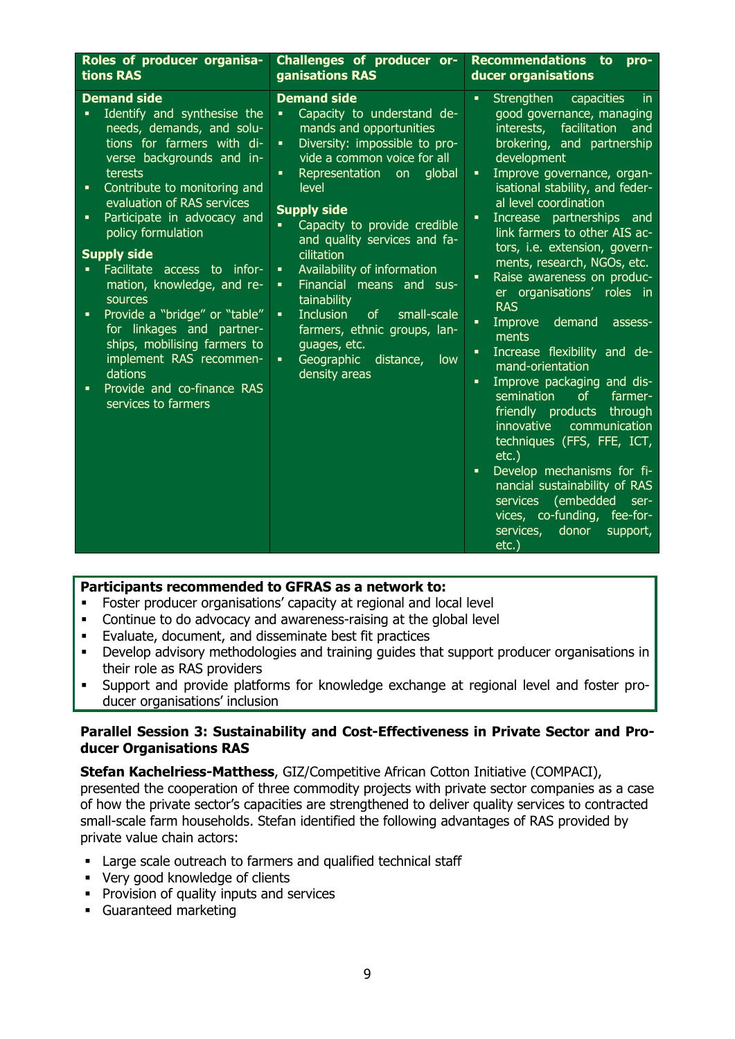| Roles of producer organisa-<br>tions RAS                                                                                                                                                                                                                                                                                                                                                                                                                                                                                                                                                        | Challenges of producer or-<br>ganisations RAS                                                                                                                                                                                                                                                                                                                                                                                                                                                                                                                                                                                                    | <b>Recommendations</b><br>to<br>pro-<br>ducer organisations                                                                                                                                                                                                                                                                                                                                                                                                                                                                                                                                                                                                                                                                                                                                                                                                                                                                                                                                     |  |
|-------------------------------------------------------------------------------------------------------------------------------------------------------------------------------------------------------------------------------------------------------------------------------------------------------------------------------------------------------------------------------------------------------------------------------------------------------------------------------------------------------------------------------------------------------------------------------------------------|--------------------------------------------------------------------------------------------------------------------------------------------------------------------------------------------------------------------------------------------------------------------------------------------------------------------------------------------------------------------------------------------------------------------------------------------------------------------------------------------------------------------------------------------------------------------------------------------------------------------------------------------------|-------------------------------------------------------------------------------------------------------------------------------------------------------------------------------------------------------------------------------------------------------------------------------------------------------------------------------------------------------------------------------------------------------------------------------------------------------------------------------------------------------------------------------------------------------------------------------------------------------------------------------------------------------------------------------------------------------------------------------------------------------------------------------------------------------------------------------------------------------------------------------------------------------------------------------------------------------------------------------------------------|--|
| <b>Demand side</b><br>Identify and synthesise the<br>needs, demands, and solu-<br>tions for farmers with di-<br>verse backgrounds and in-<br>terests<br>Contribute to monitoring and<br>٠<br>evaluation of RAS services<br>Participate in advocacy and<br>٠<br>policy formulation<br><b>Supply side</b><br>Facilitate access to infor-<br>mation, knowledge, and re-<br>sources<br>Provide a "bridge" or "table"<br>$\blacksquare$<br>for linkages and partner-<br>ships, mobilising farmers to<br>implement RAS recommen-<br>dations<br>Provide and co-finance RAS<br>٠<br>services to farmers | <b>Demand side</b><br>Capacity to understand de-<br>$\blacksquare$<br>mands and opportunities<br>Diversity: impossible to pro-<br>$\blacksquare$<br>vide a common voice for all<br>Representation<br>global<br>on<br>٠<br>level<br><b>Supply side</b><br>Capacity to provide credible<br>$\blacksquare$<br>and quality services and fa-<br>cilitation<br>Availability of information<br>$\blacksquare$<br>Financial means and sus-<br>$\blacksquare$<br>tainability<br><b>Inclusion</b><br>of<br>small-scale<br>$\blacksquare$<br>farmers, ethnic groups, lan-<br>guages, etc.<br>Geographic distance,<br>$\blacksquare$<br>low<br>density areas | Strengthen<br>$\blacksquare$<br>capacities<br><i>in</i><br>good governance, managing<br>facilitation<br>interests,<br>and<br>brokering, and partnership<br>development<br>Improve governance, organ-<br>٠<br>isational stability, and feder-<br>al level coordination<br>Increase partnerships and<br>٠<br>link farmers to other AIS ac-<br>tors, i.e. extension, govern-<br>ments, research, NGOs, etc.<br>Raise awareness on produc-<br>$\blacksquare$<br>er organisations' roles in<br><b>RAS</b><br>demand<br>Improve<br>×,<br>assess-<br>ments<br>Increase flexibility and de-<br>٠<br>mand-orientation<br>Improve packaging and dis-<br>×,<br>semination<br>farmer-<br><sub>of</sub><br>friendly products through<br>innovative<br>communication<br>techniques (FFS, FFE, ICT,<br>$etc.$ )<br>Develop mechanisms for fi-<br>$\blacksquare$<br>nancial sustainability of RAS<br>services (embedded<br>ser-<br>vices, co-funding,<br>fee-for-<br>services,<br>donor<br>support,<br>$etc.$ ) |  |

## **Participants recommended to GFRAS as a network to:**

- Foster producer organisations' capacity at regional and local level
- Continue to do advocacy and awareness-raising at the global level
- Evaluate, document, and disseminate best fit practices
- Develop advisory methodologies and training guides that support producer organisations in their role as RAS providers
- Support and provide platforms for knowledge exchange at regional level and foster producer organisations' inclusion

#### **Parallel Session 3: Sustainability and Cost-Effectiveness in Private Sector and Producer Organisations RAS**

**Stefan Kachelriess-Matthess**, GIZ/Competitive African Cotton Initiative (COMPACI), presented the cooperation of three commodity projects with private sector companies as a case of how the private sector's capacities are strengthened to deliver quality services to contracted small-scale farm households. Stefan identified the following advantages of RAS provided by private value chain actors:

- Large scale outreach to farmers and qualified technical staff
- Very good knowledge of clients
- **•** Provision of quality inputs and services
- Guaranteed marketing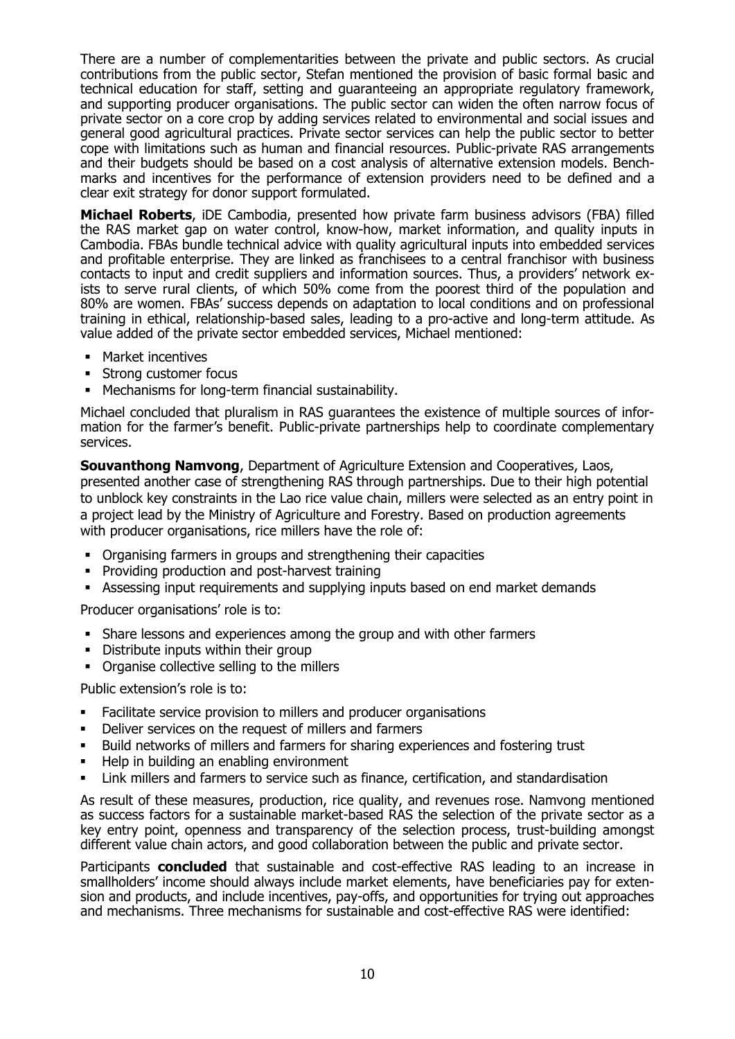There are a number of complementarities between the private and public sectors. As crucial contributions from the public sector, Stefan mentioned the provision of basic formal basic and technical education for staff, setting and guaranteeing an appropriate regulatory framework, and supporting producer organisations. The public sector can widen the often narrow focus of private sector on a core crop by adding services related to environmental and social issues and general good agricultural practices. Private sector services can help the public sector to better cope with limitations such as human and financial resources. Public-private RAS arrangements and their budgets should be based on a cost analysis of alternative extension models. Benchmarks and incentives for the performance of extension providers need to be defined and a clear exit strategy for donor support formulated.

**Michael Roberts**, iDE Cambodia, presented how private farm business advisors (FBA) filled the RAS market gap on water control, know-how, market information, and quality inputs in Cambodia. FBAs bundle technical advice with quality agricultural inputs into embedded services and profitable enterprise. They are linked as franchisees to a central franchisor with business contacts to input and credit suppliers and information sources. Thus, a providers' network exists to serve rural clients, of which 50% come from the poorest third of the population and 80% are women. FBAs' success depends on adaptation to local conditions and on professional training in ethical, relationship-based sales, leading to a pro-active and long-term attitude. As value added of the private sector embedded services, Michael mentioned:

- **•** Market incentives
- **Strong customer focus**
- Mechanisms for long-term financial sustainability.

Michael concluded that pluralism in RAS guarantees the existence of multiple sources of information for the farmer's benefit. Public-private partnerships help to coordinate complementary services.

**Souvanthong Namvong**, Department of Agriculture Extension and Cooperatives, Laos, presented another case of strengthening RAS through partnerships. Due to their high potential to unblock key constraints in the Lao rice value chain, millers were selected as an entry point in a project lead by the Ministry of Agriculture and Forestry. Based on production agreements with producer organisations, rice millers have the role of:

- Organising farmers in groups and strengthening their capacities
- **•** Providing production and post-harvest training
- Assessing input requirements and supplying inputs based on end market demands

Producer organisations' role is to:

- Share lessons and experiences among the group and with other farmers
- **•** Distribute inputs within their group
- Organise collective selling to the millers

Public extension's role is to:

- Facilitate service provision to millers and producer organisations
- Deliver services on the request of millers and farmers
- Build networks of millers and farmers for sharing experiences and fostering trust
- Help in building an enabling environment
- Link millers and farmers to service such as finance, certification, and standardisation

As result of these measures, production, rice quality, and revenues rose. Namvong mentioned as success factors for a sustainable market-based RAS the selection of the private sector as a key entry point, openness and transparency of the selection process, trust-building amongst different value chain actors, and good collaboration between the public and private sector.

Participants **concluded** that sustainable and cost-effective RAS leading to an increase in smallholders' income should always include market elements, have beneficiaries pay for extension and products, and include incentives, pay-offs, and opportunities for trying out approaches and mechanisms. Three mechanisms for sustainable and cost-effective RAS were identified: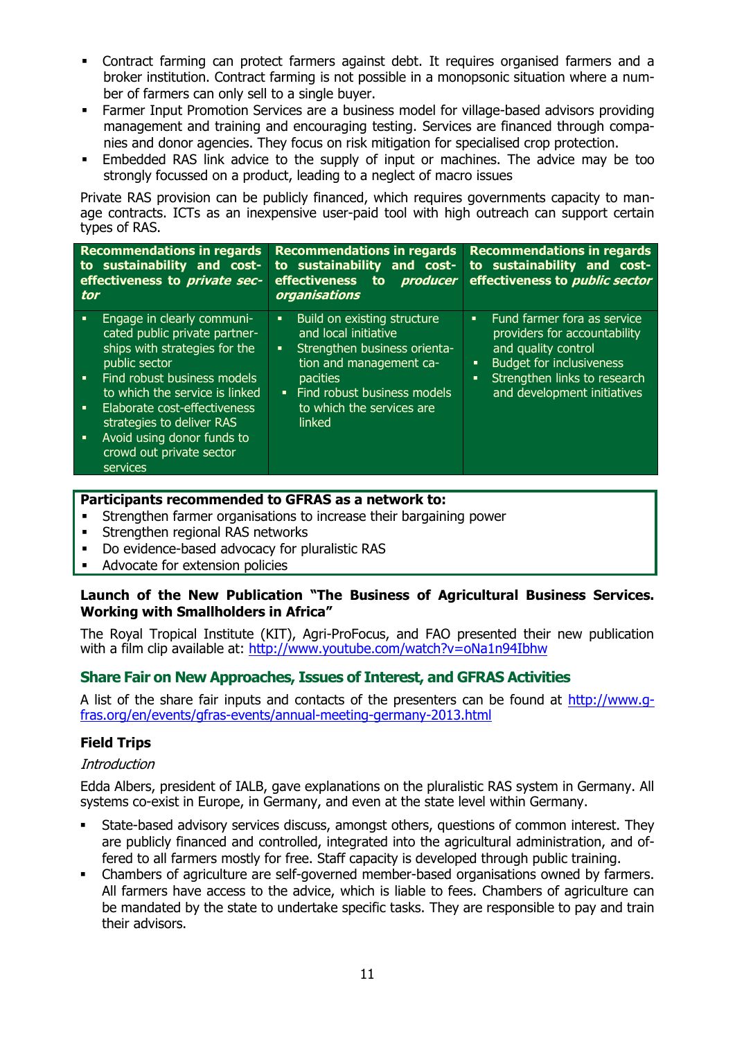- Contract farming can protect farmers against debt. It requires organised farmers and a broker institution. Contract farming is not possible in a monopsonic situation where a number of farmers can only sell to a single buyer.
- Farmer Input Promotion Services are a business model for village-based advisors providing management and training and encouraging testing. Services are financed through companies and donor agencies. They focus on risk mitigation for specialised crop protection.
- Embedded RAS link advice to the supply of input or machines. The advice may be too strongly focussed on a product, leading to a neglect of macro issues

Private RAS provision can be publicly financed, which requires governments capacity to manage contracts. ICTs as an inexpensive user-paid tool with high outreach can support certain types of RAS.

| <b>Recommendations in regards</b><br>to sustainability and cost-<br>effectiveness to <i>private sec-</i><br>tor                                                                                                                                                                                                                                    | <b>Recommendations in regards</b><br>to sustainability and cost-<br>effectiveness<br>producer<br>to.<br>organisations                                                                                                                            | <b>Recommendations in regards</b><br>to sustainability and cost-<br>effectiveness to <i>public sector</i>                                                                                                                     |
|----------------------------------------------------------------------------------------------------------------------------------------------------------------------------------------------------------------------------------------------------------------------------------------------------------------------------------------------------|--------------------------------------------------------------------------------------------------------------------------------------------------------------------------------------------------------------------------------------------------|-------------------------------------------------------------------------------------------------------------------------------------------------------------------------------------------------------------------------------|
| Engage in clearly communi-<br>٠<br>cated public private partner-<br>ships with strategies for the<br>public sector<br>Find robust business models<br>$\blacksquare$<br>to which the service is linked<br>Elaborate cost-effectiveness<br>٠<br>strategies to deliver RAS<br>Avoid using donor funds to<br>٠<br>crowd out private sector<br>services | Build on existing structure<br>٠<br>and local initiative<br>Strengthen business orienta-<br>$\blacksquare$<br>tion and management ca-<br><b>pacities</b><br>Find robust business models<br>$\mathbf{u}$ .<br>to which the services are<br>linked | Fund farmer fora as service<br>$\blacksquare$<br>providers for accountability<br>and quality control<br><b>Budget for inclusiveness</b><br>٠<br>Strengthen links to research<br>$\blacksquare$<br>and development initiatives |

## **Participants recommended to GFRAS as a network to:**

- Strengthen farmer organisations to increase their bargaining power
- **Strengthen regional RAS networks**
- Do evidence-based advocacy for pluralistic RAS
- Advocate for extension policies

## **Launch of the New Publication "The Business of Agricultural Business Services. Working with Smallholders in Africa"**

The Royal Tropical Institute (KIT), Agri-ProFocus, and FAO presented their new publication with a film clip available at:<http://www.youtube.com/watch?v=oNa1n94Ibhw>

## **Share Fair on New Approaches, Issues of Interest, and GFRAS Activities**

A list of the share fair inputs and contacts of the presenters can be found at [http://www.g](http://www.g-fras.org/en/events/gfras-events/annual-meeting-germany-2013.html)[fras.org/en/events/gfras-events/annual-meeting-germany-2013.html](http://www.g-fras.org/en/events/gfras-events/annual-meeting-germany-2013.html)

#### **Field Trips**

#### **Introduction**

Edda Albers, president of IALB, gave explanations on the pluralistic RAS system in Germany. All systems co-exist in Europe, in Germany, and even at the state level within Germany.

- State-based advisory services discuss, amongst others, questions of common interest. They are publicly financed and controlled, integrated into the agricultural administration, and offered to all farmers mostly for free. Staff capacity is developed through public training.
- Chambers of agriculture are self-governed member-based organisations owned by farmers. All farmers have access to the advice, which is liable to fees. Chambers of agriculture can be mandated by the state to undertake specific tasks. They are responsible to pay and train their advisors.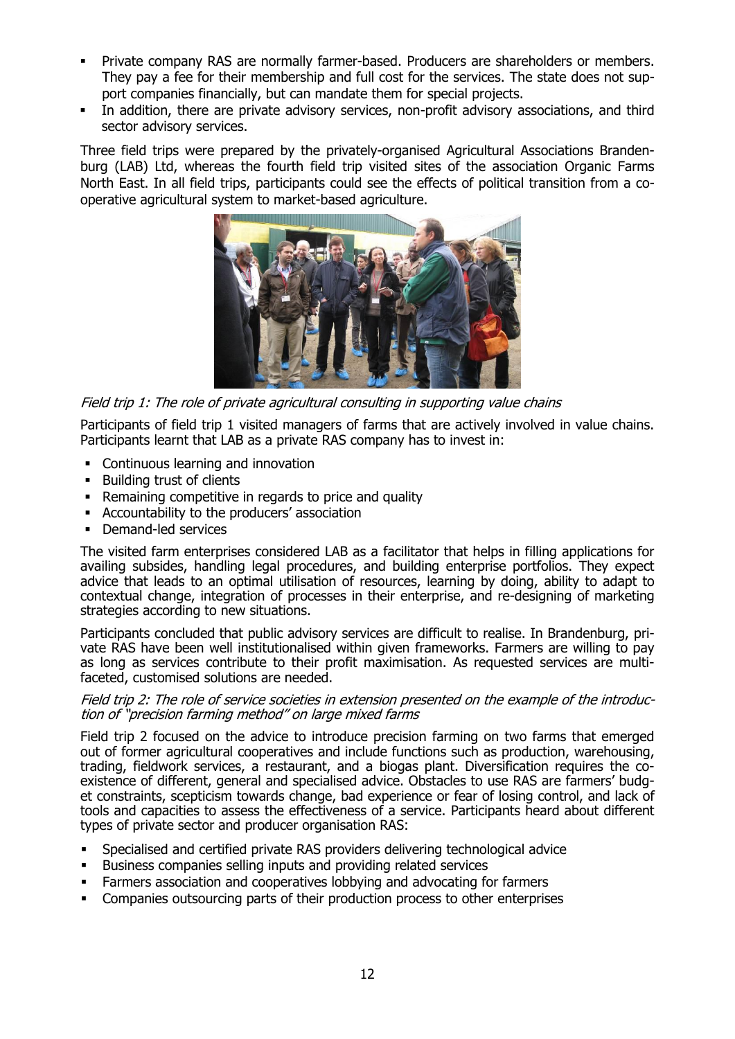- Private company RAS are normally farmer-based. Producers are shareholders or members. They pay a fee for their membership and full cost for the services. The state does not support companies financially, but can mandate them for special projects.
- In addition, there are private advisory services, non-profit advisory associations, and third sector advisory services.

Three field trips were prepared by the privately-organised Agricultural Associations Brandenburg (LAB) Ltd, whereas the fourth field trip visited sites of the association Organic Farms North East. In all field trips, participants could see the effects of political transition from a cooperative agricultural system to market-based agriculture.



Field trip 1: The role of private agricultural consulting in supporting value chains

Participants of field trip 1 visited managers of farms that are actively involved in value chains. Participants learnt that LAB as a private RAS company has to invest in:

- Continuous learning and innovation
- **Building trust of clients**
- Remaining competitive in regards to price and quality
- Accountability to the producers' association
- Demand-led services

The visited farm enterprises considered LAB as a facilitator that helps in filling applications for availing subsides, handling legal procedures, and building enterprise portfolios. They expect advice that leads to an optimal utilisation of resources, learning by doing, ability to adapt to contextual change, integration of processes in their enterprise, and re-designing of marketing strategies according to new situations.

Participants concluded that public advisory services are difficult to realise. In Brandenburg, private RAS have been well institutionalised within given frameworks. Farmers are willing to pay as long as services contribute to their profit maximisation. As requested services are multifaceted, customised solutions are needed.

#### Field trip 2: The role of service societies in extension presented on the example of the introduction of "precision farming method" on large mixed farms

Field trip 2 focused on the advice to introduce precision farming on two farms that emerged out of former agricultural cooperatives and include functions such as production, warehousing, trading, fieldwork services, a restaurant, and a biogas plant. Diversification requires the coexistence of different, general and specialised advice. Obstacles to use RAS are farmers' budget constraints, scepticism towards change, bad experience or fear of losing control, and lack of tools and capacities to assess the effectiveness of a service. Participants heard about different types of private sector and producer organisation RAS:

- Specialised and certified private RAS providers delivering technological advice
- Business companies selling inputs and providing related services
- Farmers association and cooperatives lobbying and advocating for farmers
- Companies outsourcing parts of their production process to other enterprises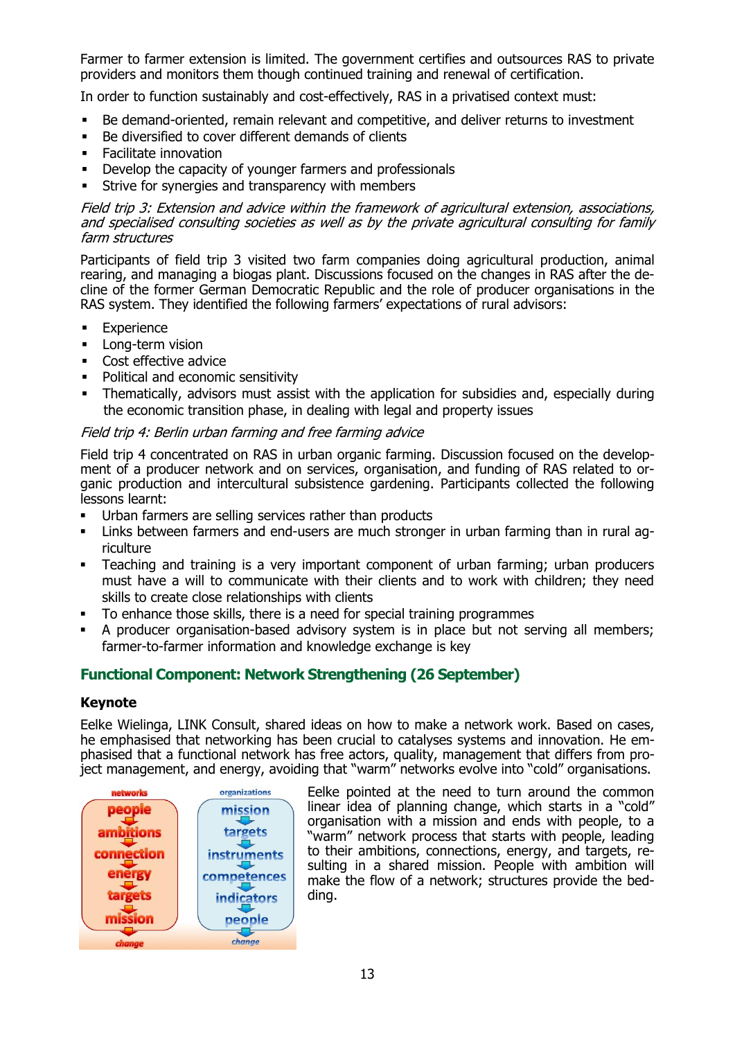Farmer to farmer extension is limited. The government certifies and outsources RAS to private providers and monitors them though continued training and renewal of certification.

In order to function sustainably and cost-effectively, RAS in a privatised context must:

- Be demand-oriented, remain relevant and competitive, and deliver returns to investment
- Be diversified to cover different demands of clients
- Facilitate innovation
- Develop the capacity of younger farmers and professionals
- **EXECT:** Strive for synergies and transparency with members

#### Field trip 3: Extension and advice within the framework of agricultural extension, associations, and specialised consulting societies as well as by the private agricultural consulting for family farm structures

Participants of field trip 3 visited two farm companies doing agricultural production, animal rearing, and managing a biogas plant. Discussions focused on the changes in RAS after the decline of the former German Democratic Republic and the role of producer organisations in the RAS system. They identified the following farmers' expectations of rural advisors:

- **Experience**
- **Long-term vision**
- Cost effective advice
- Political and economic sensitivity
- Thematically, advisors must assist with the application for subsidies and, especially during the economic transition phase, in dealing with legal and property issues

#### Field trip 4: Berlin urban farming and free farming advice

Field trip 4 concentrated on RAS in urban organic farming. Discussion focused on the development of a producer network and on services, organisation, and funding of RAS related to organic production and intercultural subsistence gardening. Participants collected the following lessons learnt:

- Urban farmers are selling services rather than products
- Links between farmers and end-users are much stronger in urban farming than in rural agriculture
- Teaching and training is a very important component of urban farming; urban producers must have a will to communicate with their clients and to work with children; they need skills to create close relationships with clients
- To enhance those skills, there is a need for special training programmes
- A producer organisation-based advisory system is in place but not serving all members; farmer-to-farmer information and knowledge exchange is key

## **Functional Component: Network Strengthening (26 September)**

#### **Keynote**

Eelke Wielinga, LINK Consult, shared ideas on how to make a network work. Based on cases, he emphasised that networking has been crucial to catalyses systems and innovation. He emphasised that a functional network has free actors, quality, management that differs from project management, and energy, avoiding that "warm" networks evolve into "cold" organisations.



Eelke pointed at the need to turn around the common linear idea of planning change, which starts in a "cold" organisation with a mission and ends with people, to a "warm" network process that starts with people, leading to their ambitions, connections, energy, and targets, resulting in a shared mission. People with ambition will make the flow of a network; structures provide the bedding.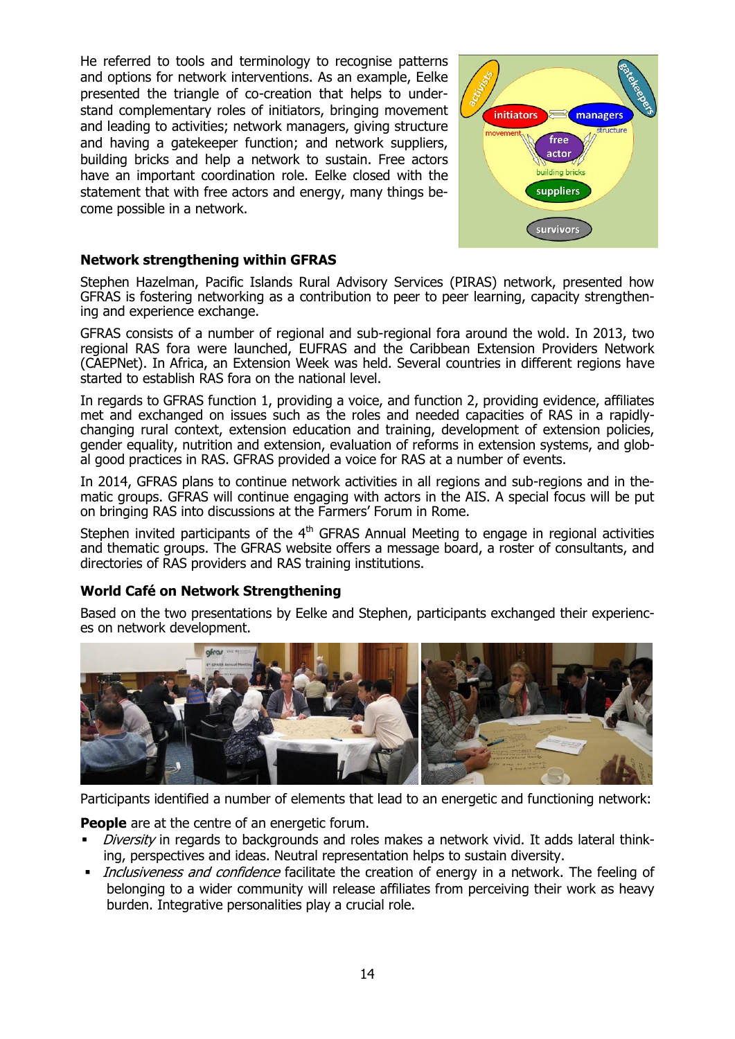He referred to tools and terminology to recognise patterns and options for network interventions. As an example, Eelke presented the triangle of co-creation that helps to understand complementary roles of initiators, bringing movement and leading to activities; network managers, giving structure and having a gatekeeper function; and network suppliers, building bricks and help a network to sustain. Free actors have an important coordination role. Eelke closed with the statement that with free actors and energy, many things become possible in a network.



## **Network strengthening within GFRAS**

Stephen Hazelman, Pacific Islands Rural Advisory Services (PIRAS) network, presented how GFRAS is fostering networking as a contribution to peer to peer learning, capacity strengthening and experience exchange.

GFRAS consists of a number of regional and sub-regional fora around the wold. In 2013, two regional RAS fora were launched, EUFRAS and the Caribbean Extension Providers Network (CAEPNet). In Africa, an Extension Week was held. Several countries in different regions have started to establish RAS fora on the national level.

In regards to GFRAS function 1, providing a voice, and function 2, providing evidence, affiliates met and exchanged on issues such as the roles and needed capacities of RAS in a rapidlychanging rural context, extension education and training, development of extension policies, gender equality, nutrition and extension, evaluation of reforms in extension systems, and global good practices in RAS. GFRAS provided a voice for RAS at a number of events.

In 2014, GFRAS plans to continue network activities in all regions and sub-regions and in thematic groups. GFRAS will continue engaging with actors in the AIS. A special focus will be put on bringing RAS into discussions at the Farmers' Forum in Rome.

Stephen invited participants of the  $4<sup>th</sup>$  GFRAS Annual Meeting to engage in regional activities and thematic groups. The GFRAS website offers a message board, a roster of consultants, and directories of RAS providers and RAS training institutions.

#### **World Café on Network Strengthening**

Based on the two presentations by Eelke and Stephen, participants exchanged their experiences on network development.



Participants identified a number of elements that lead to an energetic and functioning network:

**People** are at the centre of an energetic forum.

- Diversity in regards to backgrounds and roles makes a network vivid. It adds lateral thinking, perspectives and ideas. Neutral representation helps to sustain diversity.
- Inclusiveness and confidence facilitate the creation of energy in a network. The feeling of belonging to a wider community will release affiliates from perceiving their work as heavy burden. Integrative personalities play a crucial role.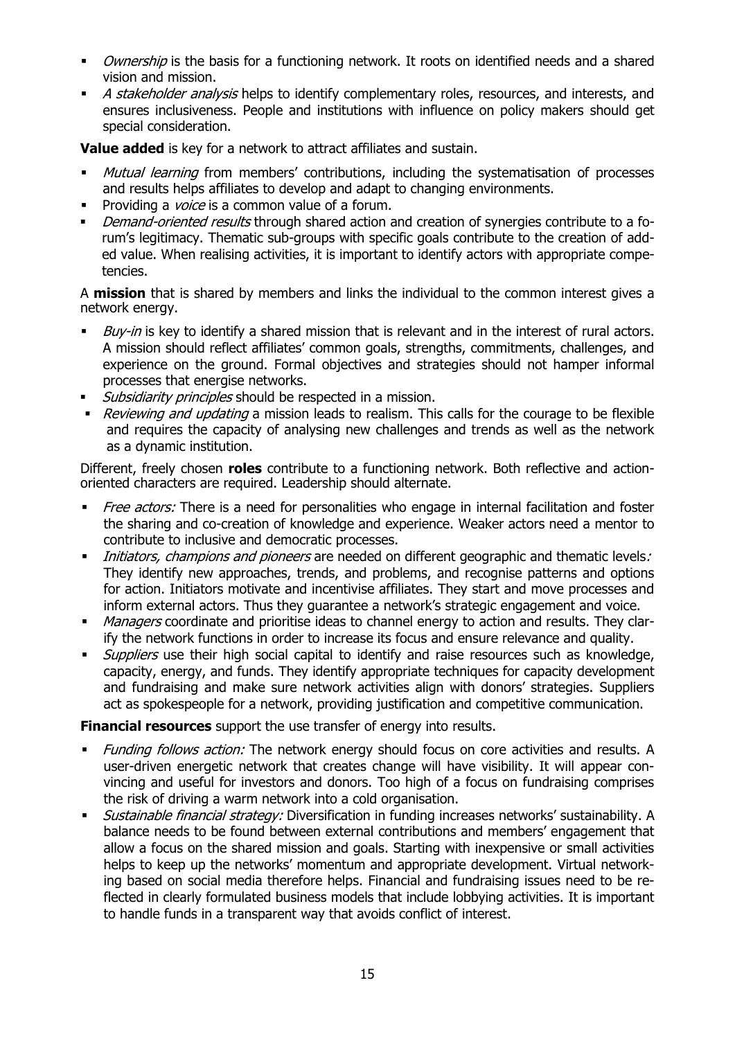- Ownership is the basis for a functioning network. It roots on identified needs and a shared vision and mission.
- A stakeholder analysis helps to identify complementary roles, resources, and interests, and ensures inclusiveness. People and institutions with influence on policy makers should get special consideration.

**Value added** is key for a network to attract affiliates and sustain.

- Mutual learning from members' contributions, including the systematisation of processes and results helps affiliates to develop and adapt to changing environments.
- Providing a *voice* is a common value of a forum.
- Demand-oriented results through shared action and creation of synergies contribute to a forum's legitimacy. Thematic sub-groups with specific goals contribute to the creation of added value. When realising activities, it is important to identify actors with appropriate competencies.

A **mission** that is shared by members and links the individual to the common interest gives a network energy.

- $Buv$ -in is key to identify a shared mission that is relevant and in the interest of rural actors. A mission should reflect affiliates' common goals, strengths, commitments, challenges, and experience on the ground. Formal objectives and strategies should not hamper informal processes that energise networks.
- **Subsidiarity principles should be respected in a mission.**
- Reviewing and updating a mission leads to realism. This calls for the courage to be flexible and requires the capacity of analysing new challenges and trends as well as the network as a dynamic institution.

Different, freely chosen **roles** contribute to a functioning network. Both reflective and actionoriented characters are required. Leadership should alternate.

- Free actors: There is a need for personalities who engage in internal facilitation and foster the sharing and co-creation of knowledge and experience. Weaker actors need a mentor to contribute to inclusive and democratic processes.
- Initiators, champions and pioneers are needed on different geographic and thematic levels: They identify new approaches, trends, and problems, and recognise patterns and options for action. Initiators motivate and incentivise affiliates. They start and move processes and inform external actors. Thus they guarantee a network's strategic engagement and voice.
- Managers coordinate and prioritise ideas to channel energy to action and results. They clarify the network functions in order to increase its focus and ensure relevance and quality.
- Suppliers use their high social capital to identify and raise resources such as knowledge, capacity, energy, and funds. They identify appropriate techniques for capacity development and fundraising and make sure network activities align with donors' strategies. Suppliers act as spokespeople for a network, providing justification and competitive communication.

**Financial resources** support the use transfer of energy into results.

- Funding follows action: The network energy should focus on core activities and results. A user-driven energetic network that creates change will have visibility. It will appear convincing and useful for investors and donors. Too high of a focus on fundraising comprises the risk of driving a warm network into a cold organisation.
- Sustainable financial strategy: Diversification in funding increases networks' sustainability. A balance needs to be found between external contributions and members' engagement that allow a focus on the shared mission and goals. Starting with inexpensive or small activities helps to keep up the networks' momentum and appropriate development. Virtual networking based on social media therefore helps. Financial and fundraising issues need to be reflected in clearly formulated business models that include lobbying activities. It is important to handle funds in a transparent way that avoids conflict of interest.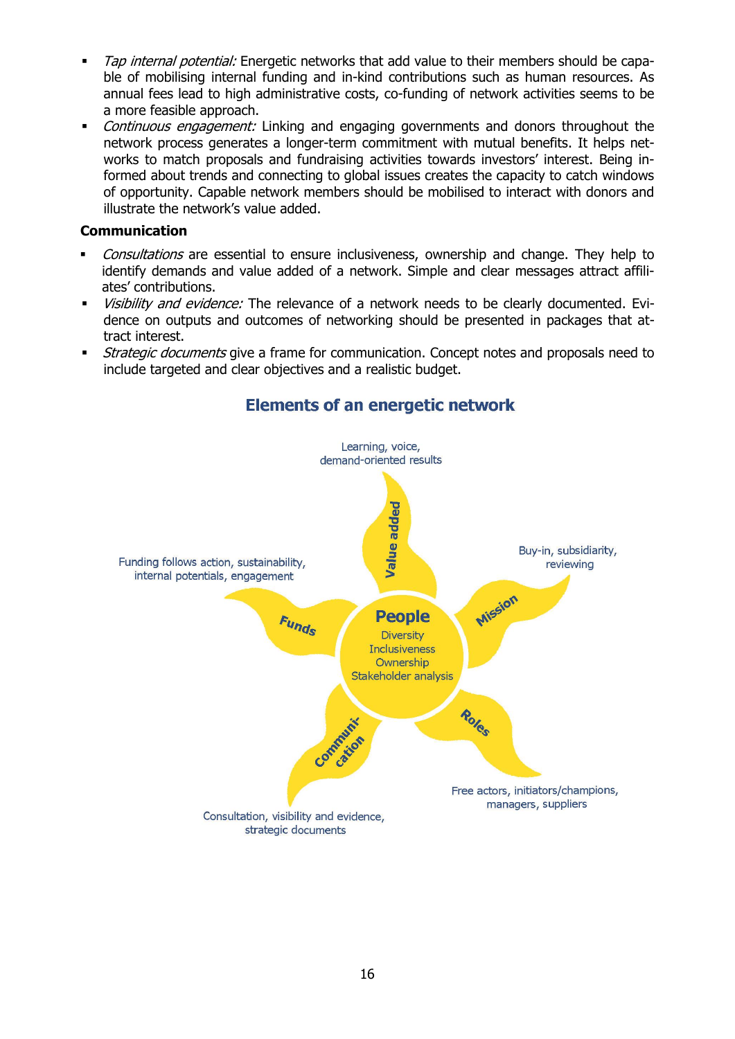- Tap internal potential: Energetic networks that add value to their members should be capable of mobilising internal funding and in-kind contributions such as human resources. As annual fees lead to high administrative costs, co-funding of network activities seems to be a more feasible approach.
- Continuous engagement: Linking and engaging governments and donors throughout the network process generates a longer-term commitment with mutual benefits. It helps networks to match proposals and fundraising activities towards investors' interest. Being informed about trends and connecting to global issues creates the capacity to catch windows of opportunity. Capable network members should be mobilised to interact with donors and illustrate the network's value added.

## **Communication**

- Consultations are essential to ensure inclusiveness, ownership and change. They help to identify demands and value added of a network. Simple and clear messages attract affiliates' contributions.
- Visibility and evidence: The relevance of a network needs to be clearly documented. Evidence on outputs and outcomes of networking should be presented in packages that attract interest.
- *Strategic documents* give a frame for communication. Concept notes and proposals need to include targeted and clear objectives and a realistic budget.



## **Elements of an energetic network**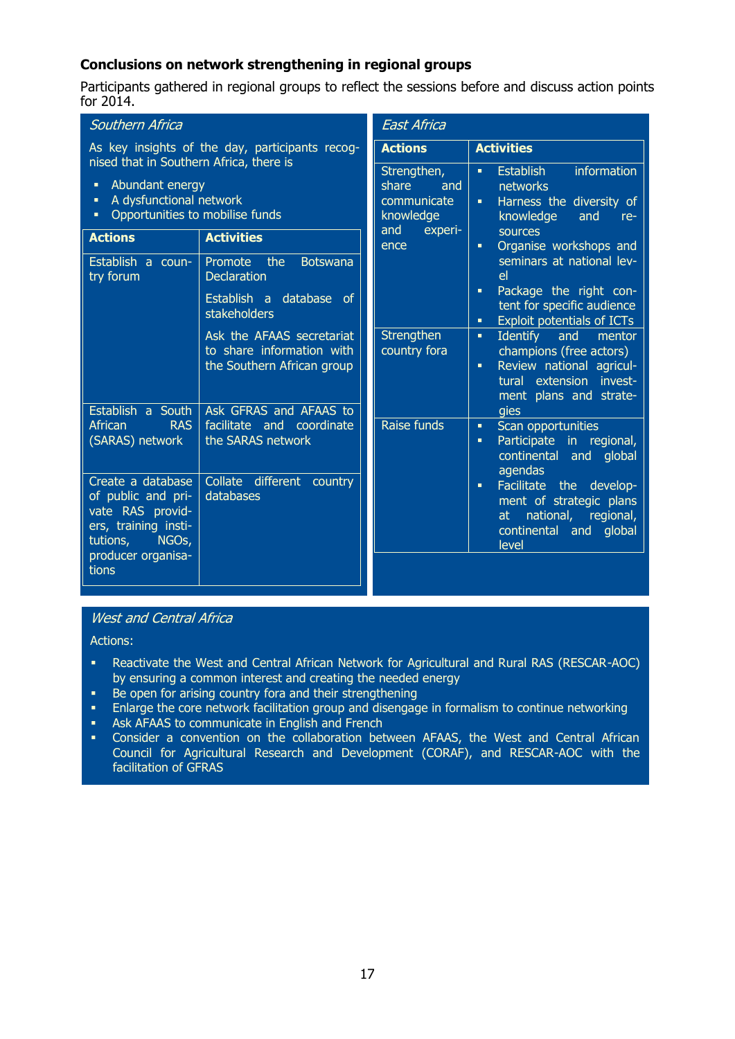## **Conclusions on network strengthening in regional groups**

Participants gathered in regional groups to reflect the sessions before and discuss action points for 2014.

| Southern Africa                                                                                                                                      |                                                                                      | <b>East Africa</b>                                                                |                                                                                                                                                        |  |
|------------------------------------------------------------------------------------------------------------------------------------------------------|--------------------------------------------------------------------------------------|-----------------------------------------------------------------------------------|--------------------------------------------------------------------------------------------------------------------------------------------------------|--|
| As key insights of the day, participants recog-                                                                                                      |                                                                                      | <b>Actions</b>                                                                    | <b>Activities</b>                                                                                                                                      |  |
| nised that in Southern Africa, there is<br>Abundant energy<br>٠<br>A dysfunctional network<br>٠<br>Opportunities to mobilise funds                   |                                                                                      | Strengthen,<br>share<br>and<br>communicate<br>knowledge<br>and<br>experi-<br>ence | information<br><b>Establish</b><br>٠<br>networks<br>Harness the diversity of<br>٠<br>knowledge<br>and<br>re-<br>sources<br>Organise workshops and<br>٠ |  |
| <b>Activities</b><br><b>Actions</b>                                                                                                                  |                                                                                      |                                                                                   |                                                                                                                                                        |  |
| the<br>Establish a coun-<br>Promote<br><b>Declaration</b><br>try forum<br>stakeholders                                                               | <b>Botswana</b>                                                                      |                                                                                   | seminars at national lev-<br>el                                                                                                                        |  |
|                                                                                                                                                      | Establish a database of                                                              |                                                                                   | Package the right con-<br>٠<br>tent for specific audience<br><b>Exploit potentials of ICTs</b><br>٠                                                    |  |
|                                                                                                                                                      | Ask the AFAAS secretariat<br>to share information with<br>the Southern African group | Strengthen<br>country fora                                                        | <b>Identify</b><br>and<br>mentor<br>٠<br>champions (free actors)<br>Review national agricul-<br>٠<br>tural extension invest-<br>ment plans and strate- |  |
| Establish a South<br><b>RAS</b><br>African<br>(SARAS) network                                                                                        | Ask GFRAS and AFAAS to<br>facilitate and coordinate<br>the SARAS network             | Raise funds                                                                       | gies<br>Scan opportunities<br>٠<br>Participate in regional,<br>٠<br>continental and<br>global<br>agendas                                               |  |
| Create a database<br>of public and pri-<br>vate RAS provid-<br>ers, training insti-<br>NGO <sub>s</sub> ,<br>tutions,<br>producer organisa-<br>tions | Collate<br>different<br>country<br>databases                                         |                                                                                   | Facilitate the develop-<br>٠<br>ment of strategic plans<br>at national, regional,<br>continental and<br>global<br>level                                |  |

### West and Central Africa

Actions:

- Reactivate the West and Central African Network for Agricultural and Rural RAS (RESCAR-AOC) by ensuring a common interest and creating the needed energy
- **Be open for arising country fora and their strengthening**
- **Enlarge the core network facilitation group and disengage in formalism to continue networking**
- **Ask AFAAS to communicate in English and French**
- Consider a convention on the collaboration between AFAAS, the West and Central African Council for Agricultural Research and Development (CORAF), and RESCAR-AOC with the facilitation of GFRAS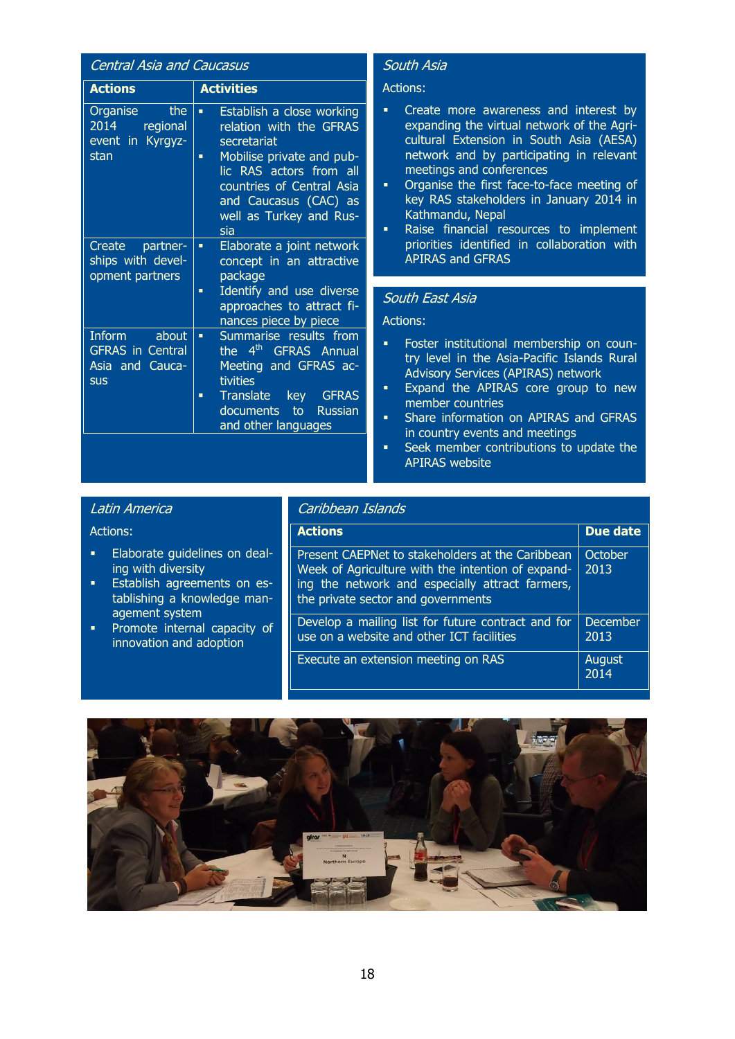| <b>Central Asia and Caucasus</b>                                         |                                                                                                                                                                                                                                |  |  |
|--------------------------------------------------------------------------|--------------------------------------------------------------------------------------------------------------------------------------------------------------------------------------------------------------------------------|--|--|
| <b>Actions</b>                                                           | <b>Activities</b>                                                                                                                                                                                                              |  |  |
| the<br>Organise<br>2014<br>regional<br>event in Kyrgyz-<br>stan          | Establish a close working<br>٠<br>relation with the GFRAS<br>secretariat<br>Mobilise private and pub-<br>a,<br>lic RAS actors from all<br>countries of Central Asia<br>and Caucasus (CAC) as<br>well as Turkey and Rus-<br>sia |  |  |
| Create partner-<br>ships with devel-<br>opment partners                  | Elaborate a joint network<br>٠<br>concept in an attractive<br>package<br>Identify and use diverse<br>٠<br>approaches to attract fi-<br>nances piece by piece                                                                   |  |  |
| Inform about<br><b>GFRAS</b> in Central<br>Asia and Cauca-<br><b>SUS</b> | Summarise results from<br>٠<br>the 4 <sup>th</sup> GFRAS Annual<br>Meeting and GFRAS ac-<br>tivities<br>Translate key GFRAS<br>п<br>documents to Russian<br>and other languages                                                |  |  |

## South Asia

#### Actions:

- Create more awareness and interest by expanding the virtual network of the Agricultural Extension in South Asia (AESA) network and by participating in relevant meetings and conferences
- **•** Organise the first face-to-face meeting of key RAS stakeholders in January 2014 in Kathmandu, Nepal
- Raise financial resources to implement priorities identified in collaboration with APIRAS and GFRAS

#### South East Asia

Actions:

- **Foster institutional membership on coun**try level in the Asia-Pacific Islands Rural Advisory Services (APIRAS) network
- **Expand the APIRAS core group to new** member countries
- **Share information on APIRAS and GFRAS** in country events and meetings
- **Seek member contributions to update the** APIRAS website

## Latin America

#### Actions:

- **Elaborate quidelines on deal**ing with diversity
- **Establish agreements on es**tablishing a knowledge management system
- **•** Promote internal capacity of innovation and adoption

#### Caribbean Islands

| <b>Actions</b>                                                                                                                                                                                 | <b>Due date</b>         |
|------------------------------------------------------------------------------------------------------------------------------------------------------------------------------------------------|-------------------------|
| Present CAEPNet to stakeholders at the Caribbean<br>Week of Agriculture with the intention of expand-<br>ing the network and especially attract farmers,<br>the private sector and governments | October<br>2013         |
| Develop a mailing list for future contract and for<br>use on a website and other ICT facilities                                                                                                | <b>December</b><br>2013 |
| <b>Execute an extension meeting on RAS</b>                                                                                                                                                     | August<br>2014          |

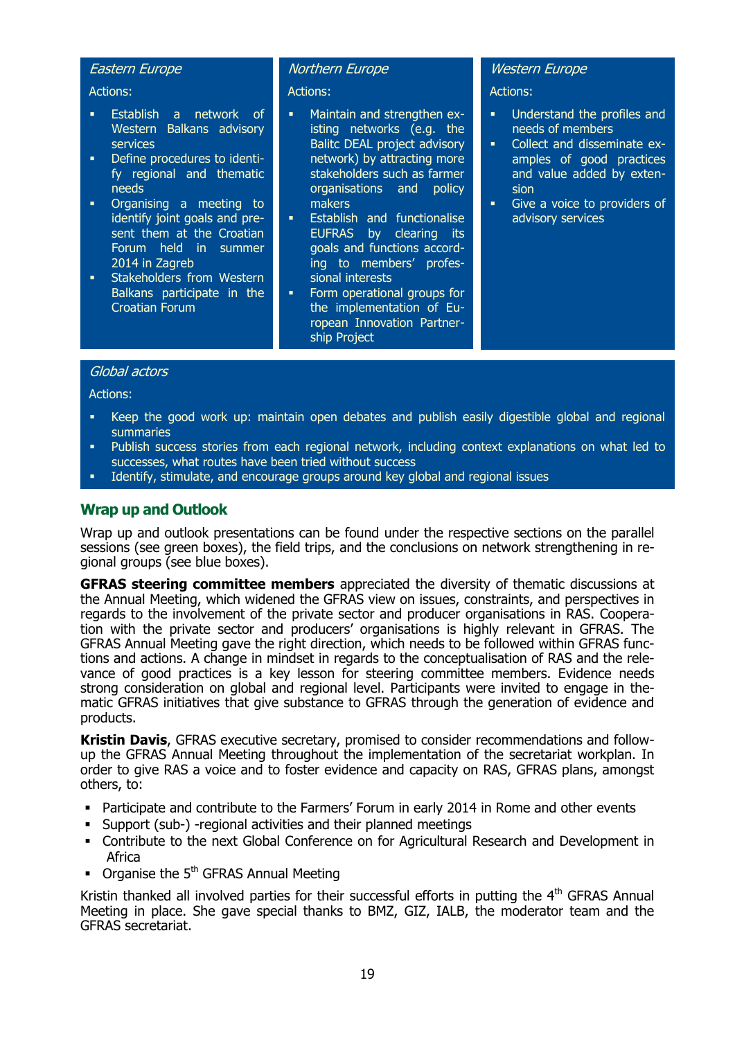#### Eastern Europe

Actions:

- Establish a network of Western Balkans advisory services
- Define procedures to identify regional and thematic needs
- Organising a meeting to identify joint goals and present them at the Croatian Forum held in summer 2014 in Zagreb
- **Stakeholders from Western** Balkans participate in the Croatian Forum

#### Northern Europe

Actions:

- Maintain and strengthen existing networks (e.g. the Balitc DEAL project advisory network) by attracting more stakeholders such as farmer organisations and policy makers
- Establish and functionalise EUFRAS by clearing its goals and functions according to members' professional interests
- **Form operational groups for** the implementation of European Innovation Partnership Project

#### Western Europe

Actions:

- Understand the profiles and needs of members
- Collect and disseminate examples of good practices and value added by extension
- Give a voice to providers of advisory services

#### Global actors

Actions:

- Keep the good work up: maintain open debates and publish easily digestible global and regional summaries
- Publish success stories from each regional network, including context explanations on what led to successes, what routes have been tried without success
- Identify, stimulate, and encourage groups around key global and regional issues

## **Wrap up and Outlook**

Wrap up and outlook presentations can be found under the respective sections on the parallel sessions (see green boxes), the field trips, and the conclusions on network strengthening in regional groups (see blue boxes).

**GFRAS steering committee members** appreciated the diversity of thematic discussions at the Annual Meeting, which widened the GFRAS view on issues, constraints, and perspectives in regards to the involvement of the private sector and producer organisations in RAS. Cooperation with the private sector and producers' organisations is highly relevant in GFRAS. The GFRAS Annual Meeting gave the right direction, which needs to be followed within GFRAS functions and actions. A change in mindset in regards to the conceptualisation of RAS and the relevance of good practices is a key lesson for steering committee members. Evidence needs strong consideration on global and regional level. Participants were invited to engage in thematic GFRAS initiatives that give substance to GFRAS through the generation of evidence and products.

**Kristin Davis**, GFRAS executive secretary, promised to consider recommendations and followup the GFRAS Annual Meeting throughout the implementation of the secretariat workplan. In order to give RAS a voice and to foster evidence and capacity on RAS, GFRAS plans, amongst others, to:

- Participate and contribute to the Farmers' Forum in early 2014 in Rome and other events
- Support (sub-) -regional activities and their planned meetings
- Contribute to the next Global Conference on for Agricultural Research and Development in Africa
- $\blacksquare$  Organise the 5<sup>th</sup> GFRAS Annual Meeting

Kristin thanked all involved parties for their successful efforts in putting the  $4<sup>th</sup>$  GFRAS Annual Meeting in place. She gave special thanks to BMZ, GIZ, IALB, the moderator team and the GFRAS secretariat.